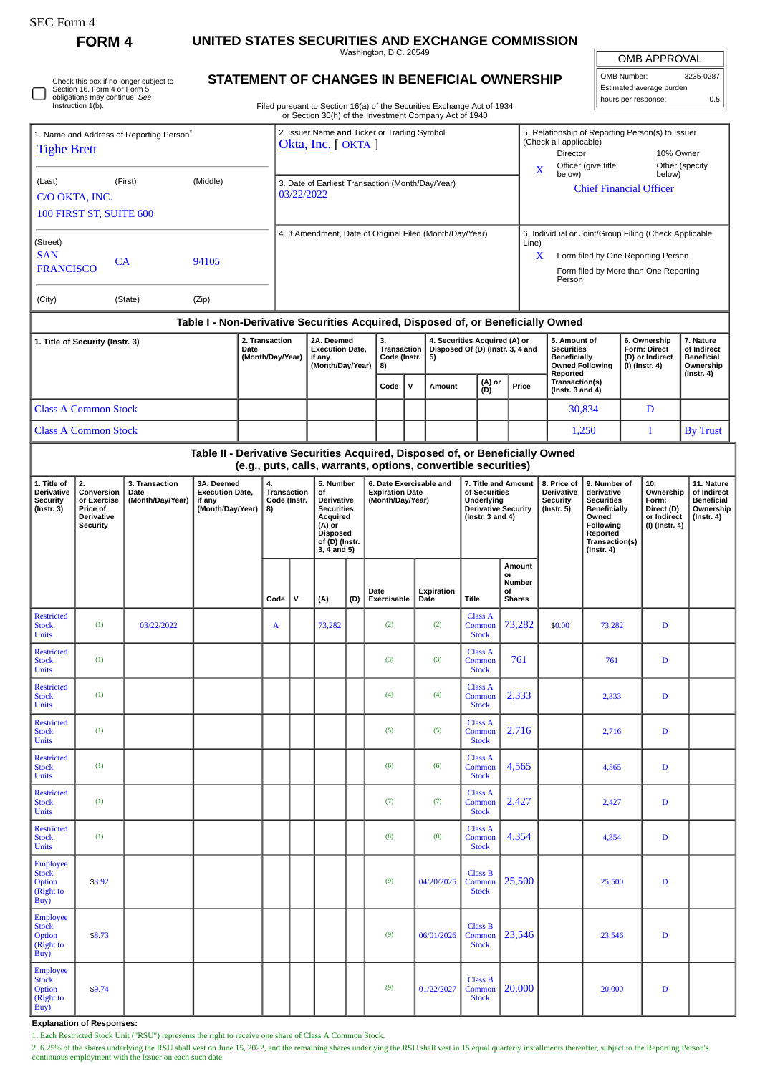**FORM 4 UNITED STATES SECURITIES AND EXCHANGE COMMISSION**

Washington, D.C. 20549 **STATEMENT OF CHANGES IN BENEFICIAL OWNERSHIP**

OMB APPROVAL

| OMB Number:              | 3235-0287 |  |  |  |  |  |  |
|--------------------------|-----------|--|--|--|--|--|--|
| Estimated average burden |           |  |  |  |  |  |  |
| hours per response:      | 0.5       |  |  |  |  |  |  |

| Check this box if no longer subject to<br>STATEMENT OF CHANGES IN BENEFICIAL OWNERSHIP<br>Estimated average burden<br>Section 16. Form 4 or Form 5<br>obligations may continue. See<br>hours per response:<br>0.5<br>Instruction 1(b).<br>Filed pursuant to Section 16(a) of the Securities Exchange Act of 1934<br>or Section 30(h) of the Investment Company Act of 1940 |                             |            |                                                                                  |                                                |                                                                    |              |                                                                                                                                         |      |                                                                         |               |                    |                                                                                                           |                                                          |                                                                                                                                                                                                         |                                                                  |                                                                                                                                                |                                                            |                                                                          |                                                                                 |  |
|----------------------------------------------------------------------------------------------------------------------------------------------------------------------------------------------------------------------------------------------------------------------------------------------------------------------------------------------------------------------------|-----------------------------|------------|----------------------------------------------------------------------------------|------------------------------------------------|--------------------------------------------------------------------|--------------|-----------------------------------------------------------------------------------------------------------------------------------------|------|-------------------------------------------------------------------------|---------------|--------------------|-----------------------------------------------------------------------------------------------------------|----------------------------------------------------------|---------------------------------------------------------------------------------------------------------------------------------------------------------------------------------------------------------|------------------------------------------------------------------|------------------------------------------------------------------------------------------------------------------------------------------------|------------------------------------------------------------|--------------------------------------------------------------------------|---------------------------------------------------------------------------------|--|
|                                                                                                                                                                                                                                                                                                                                                                            |                             |            |                                                                                  |                                                |                                                                    |              |                                                                                                                                         |      |                                                                         |               |                    |                                                                                                           |                                                          |                                                                                                                                                                                                         |                                                                  |                                                                                                                                                |                                                            |                                                                          |                                                                                 |  |
| 1. Name and Address of Reporting Person <sup>®</sup><br><b>Tighe Brett</b>                                                                                                                                                                                                                                                                                                 |                             |            |                                                                                  |                                                | 2. Issuer Name and Ticker or Trading Symbol<br>Okta, Inc. [ OKTA ] |              |                                                                                                                                         |      |                                                                         |               |                    |                                                                                                           |                                                          | 5. Relationship of Reporting Person(s) to Issuer<br>(Check all applicable)<br>Director<br>10% Owner<br>Other (specify<br>Officer (give title<br>X<br>below)<br>below)<br><b>Chief Financial Officer</b> |                                                                  |                                                                                                                                                |                                                            |                                                                          |                                                                                 |  |
| (First)<br>(Middle)<br>(Last)<br>C/O OKTA, INC.                                                                                                                                                                                                                                                                                                                            |                             |            |                                                                                  |                                                | 3. Date of Earliest Transaction (Month/Day/Year)<br>03/22/2022     |              |                                                                                                                                         |      |                                                                         |               |                    |                                                                                                           |                                                          |                                                                                                                                                                                                         |                                                                  |                                                                                                                                                |                                                            |                                                                          |                                                                                 |  |
| 100 FIRST ST, SUITE 600                                                                                                                                                                                                                                                                                                                                                    |                             |            |                                                                                  |                                                |                                                                    |              |                                                                                                                                         |      |                                                                         |               |                    |                                                                                                           |                                                          |                                                                                                                                                                                                         |                                                                  |                                                                                                                                                |                                                            |                                                                          |                                                                                 |  |
| (Street)                                                                                                                                                                                                                                                                                                                                                                   |                             |            |                                                                                  |                                                | 4. If Amendment, Date of Original Filed (Month/Day/Year)           |              |                                                                                                                                         |      |                                                                         |               |                    |                                                                                                           |                                                          | 6. Individual or Joint/Group Filing (Check Applicable<br>Line)                                                                                                                                          |                                                                  |                                                                                                                                                |                                                            |                                                                          |                                                                                 |  |
| <b>SAN</b><br><b>CA</b><br>94105<br><b>FRANCISCO</b>                                                                                                                                                                                                                                                                                                                       |                             |            |                                                                                  |                                                |                                                                    |              |                                                                                                                                         |      |                                                                         |               |                    |                                                                                                           |                                                          | X<br>Form filed by One Reporting Person<br>Form filed by More than One Reporting<br>Person                                                                                                              |                                                                  |                                                                                                                                                |                                                            |                                                                          |                                                                                 |  |
| (City)<br>(State)<br>(Zip)                                                                                                                                                                                                                                                                                                                                                 |                             |            |                                                                                  |                                                |                                                                    |              |                                                                                                                                         |      |                                                                         |               |                    |                                                                                                           |                                                          |                                                                                                                                                                                                         |                                                                  |                                                                                                                                                |                                                            |                                                                          |                                                                                 |  |
|                                                                                                                                                                                                                                                                                                                                                                            |                             |            | Table I - Non-Derivative Securities Acquired, Disposed of, or Beneficially Owned |                                                |                                                                    |              |                                                                                                                                         |      |                                                                         |               |                    |                                                                                                           |                                                          |                                                                                                                                                                                                         |                                                                  |                                                                                                                                                |                                                            |                                                                          |                                                                                 |  |
| 1. Title of Security (Instr. 3)<br>2. Transaction<br>Date                                                                                                                                                                                                                                                                                                                  |                             |            | (Month/Day/Year)                                                                 |                                                | 2A. Deemed<br><b>Execution Date,</b><br>if any<br>(Month/Day/Year) |              | 3.<br>Transaction<br>Code (Instr.<br>8)                                                                                                 |      | 4. Securities Acquired (A) or<br>Disposed Of (D) (Instr. 3, 4 and<br>5) |               |                    |                                                                                                           | 5. Amount of<br><b>Securities</b><br><b>Beneficially</b> |                                                                                                                                                                                                         |                                                                  | 6. Ownership<br>Form: Direct<br>(D) or Indirect                                                                                                | 7. Nature<br>of Indirect<br><b>Beneficial</b><br>Ownership |                                                                          |                                                                                 |  |
|                                                                                                                                                                                                                                                                                                                                                                            |                             |            |                                                                                  |                                                |                                                                    |              |                                                                                                                                         | Code | $\mathsf{v}$                                                            | <b>Amount</b> | (A) or<br>(D)      |                                                                                                           | Price                                                    | <b>Owned Following</b><br>Reported<br>Transaction(s)<br>(Instr. $3$ and $4$ )                                                                                                                           |                                                                  | (I) (Instr. 4)                                                                                                                                 |                                                            | $($ Instr. 4 $)$                                                         |                                                                                 |  |
|                                                                                                                                                                                                                                                                                                                                                                            | <b>Class A Common Stock</b> |            |                                                                                  |                                                |                                                                    |              |                                                                                                                                         |      |                                                                         |               |                    |                                                                                                           |                                                          | 30,834                                                                                                                                                                                                  |                                                                  |                                                                                                                                                | D                                                          |                                                                          |                                                                                 |  |
| <b>Class A Common Stock</b>                                                                                                                                                                                                                                                                                                                                                |                             |            |                                                                                  |                                                |                                                                    |              |                                                                                                                                         |      |                                                                         |               |                    |                                                                                                           |                                                          |                                                                                                                                                                                                         | 1,250                                                            |                                                                                                                                                | I                                                          | <b>By Trust</b>                                                          |                                                                                 |  |
|                                                                                                                                                                                                                                                                                                                                                                            |                             |            | Table II - Derivative Securities Acquired, Disposed of, or Beneficially Owned    |                                                |                                                                    |              |                                                                                                                                         |      | (e.g., puts, calls, warrants, options, convertible securities)          |               |                    |                                                                                                           |                                                          |                                                                                                                                                                                                         |                                                                  |                                                                                                                                                |                                                            |                                                                          |                                                                                 |  |
| 2.<br>1. Title of<br>3. Transaction<br>Derivative<br>Conversion<br>Date<br><b>Security</b><br>or Exercise<br>(Month/Day/Year)<br>if any<br>$($ Instr. 3 $)$<br>Price of<br>Derivative<br><b>Security</b>                                                                                                                                                                   |                             |            | 3A. Deemed<br><b>Execution Date,</b><br>(Month/Day/Year)                         | 4.<br><b>Transaction</b><br>Code (Instr.<br>8) |                                                                    |              | 5. Number<br>οf<br><b>Derivative</b><br><b>Securities</b><br>Acquired<br>(A) or<br><b>Disposed</b><br>of (D) (Instr.<br>$3, 4$ and $5)$ |      | 6. Date Exercisable and<br><b>Expiration Date</b><br>(Month/Day/Year)   |               |                    | 7. Title and Amount<br>of Securities<br>Underlying<br><b>Derivative Security</b><br>(Instr. $3$ and $4$ ) |                                                          |                                                                                                                                                                                                         | 8. Price of<br><b>Derivative</b><br>Security<br>$($ Instr. 5 $)$ | 9. Number of<br>derivative<br><b>Securities</b><br><b>Beneficially</b><br>Owned<br>Following<br>Reported<br>Transaction(s)<br>$($ Instr. 4 $)$ |                                                            | 10.<br>Ownership<br>Form:<br>Direct (D)<br>or Indirect<br>(I) (Instr. 4) | 11. Nature<br>of Indirect<br><b>Beneficial</b><br>Ownership<br>$($ Instr. 4 $)$ |  |
|                                                                                                                                                                                                                                                                                                                                                                            |                             |            |                                                                                  |                                                | Code                                                               | $\mathsf{v}$ | (A)                                                                                                                                     | (D)  | Date<br>Exercisable                                                     |               | Expiration<br>Date | <b>Title</b>                                                                                              | or<br>οf                                                 | Amount<br><b>Number</b><br><b>Shares</b>                                                                                                                                                                |                                                                  |                                                                                                                                                |                                                            |                                                                          |                                                                                 |  |
| <b>Restricted</b><br><b>Stock</b><br><b>Units</b>                                                                                                                                                                                                                                                                                                                          | (1)                         | 03/22/2022 |                                                                                  |                                                | A                                                                  |              | 73,282                                                                                                                                  |      | (2)                                                                     |               | (2)                | <b>Class A</b><br>Common<br><b>Stock</b>                                                                  |                                                          | 73,282                                                                                                                                                                                                  | \$0.00                                                           | 73,282                                                                                                                                         |                                                            | D                                                                        |                                                                                 |  |
| <b>Restricted</b><br><b>Stock</b><br><b>Units</b>                                                                                                                                                                                                                                                                                                                          | (1)                         |            |                                                                                  |                                                |                                                                    |              |                                                                                                                                         |      | (3)                                                                     |               | (3)                | Class A<br>Common<br><b>Stock</b>                                                                         |                                                          | 761                                                                                                                                                                                                     |                                                                  | 761                                                                                                                                            |                                                            | $\mathbf D$                                                              |                                                                                 |  |
| <b>Restricted</b><br><b>Stock</b><br><b>Units</b>                                                                                                                                                                                                                                                                                                                          | (1)                         |            |                                                                                  |                                                |                                                                    |              |                                                                                                                                         |      | (4)                                                                     |               | (4)                | <b>Class A</b><br>Common<br><b>Stock</b>                                                                  |                                                          | 2,333                                                                                                                                                                                                   |                                                                  | 2,333                                                                                                                                          |                                                            | D                                                                        |                                                                                 |  |
| <b>Restricted</b><br><b>Stock</b><br><b>Units</b>                                                                                                                                                                                                                                                                                                                          | (1)                         |            |                                                                                  |                                                |                                                                    |              |                                                                                                                                         |      | (5)                                                                     |               | (5)                | <b>Class A</b><br>Common<br><b>Stock</b>                                                                  |                                                          | 2,716                                                                                                                                                                                                   |                                                                  | 2,716                                                                                                                                          |                                                            | D                                                                        |                                                                                 |  |
| <b>Restricted</b><br><b>Stock</b><br><b>Units</b>                                                                                                                                                                                                                                                                                                                          | (1)                         |            |                                                                                  |                                                |                                                                    |              |                                                                                                                                         |      | (6)                                                                     |               | (6)                | <b>Class A</b><br>Common<br><b>Stock</b>                                                                  |                                                          | 4,565                                                                                                                                                                                                   |                                                                  | 4,565                                                                                                                                          |                                                            | $\mathbf D$                                                              |                                                                                 |  |
| <b>Restricted</b><br><b>Stock</b><br><b>Units</b>                                                                                                                                                                                                                                                                                                                          | (1)                         |            |                                                                                  |                                                |                                                                    |              |                                                                                                                                         |      | (7)                                                                     |               | (7)                | <b>Class A</b><br>Common<br><b>Stock</b>                                                                  |                                                          | 2,427                                                                                                                                                                                                   |                                                                  | 2,427                                                                                                                                          |                                                            | $\mathbf D$                                                              |                                                                                 |  |
| <b>Restricted</b><br><b>Stock</b><br><b>Units</b>                                                                                                                                                                                                                                                                                                                          | (1)                         |            |                                                                                  |                                                |                                                                    |              |                                                                                                                                         |      | (8)                                                                     |               | (8)                | <b>Class A</b><br>Common<br><b>Stock</b>                                                                  |                                                          | 4,354                                                                                                                                                                                                   |                                                                  | 4,354                                                                                                                                          |                                                            | D                                                                        |                                                                                 |  |
| <b>Employee</b><br><b>Stock</b><br><b>Option</b><br>(Right to<br>Buy)                                                                                                                                                                                                                                                                                                      | \$3.92                      |            |                                                                                  |                                                |                                                                    |              |                                                                                                                                         |      | (9)                                                                     |               | 04/20/2025         | Class B<br>Common<br><b>Stock</b>                                                                         |                                                          | 25,500                                                                                                                                                                                                  |                                                                  | 25,500                                                                                                                                         |                                                            | D                                                                        |                                                                                 |  |
| <b>Employee</b><br><b>Stock</b><br><b>Option</b><br>(Right to<br>Buy)                                                                                                                                                                                                                                                                                                      | \$8.73                      |            |                                                                                  |                                                |                                                                    |              |                                                                                                                                         |      | (9)                                                                     |               | 06/01/2026         | <b>Class B</b><br>Common<br><b>Stock</b>                                                                  |                                                          | 23,546                                                                                                                                                                                                  |                                                                  | 23,546                                                                                                                                         |                                                            | D                                                                        |                                                                                 |  |
| <b>Employee</b><br><b>Stock</b><br>Option<br>(Right to<br>Buy)                                                                                                                                                                                                                                                                                                             | \$9.74                      |            |                                                                                  |                                                |                                                                    |              |                                                                                                                                         |      | (9)                                                                     |               | 01/22/2027         | <b>Class B</b><br>Common<br><b>Stock</b>                                                                  |                                                          | 20,000                                                                                                                                                                                                  |                                                                  | 20,000                                                                                                                                         |                                                            | D                                                                        |                                                                                 |  |

**Explanation of Responses:**

1. Each Restricted Stock Unit ("RSU") represents the right to receive one share of Class A Common Stock.

2. 6.25% of the shares underlying the RSU shall vest on June 15, 2022, and the remaining shares underlying the RSU shall vest in 15 equal quarterly installments thereafter, subject to the Reporting Person's<br>continuous empl